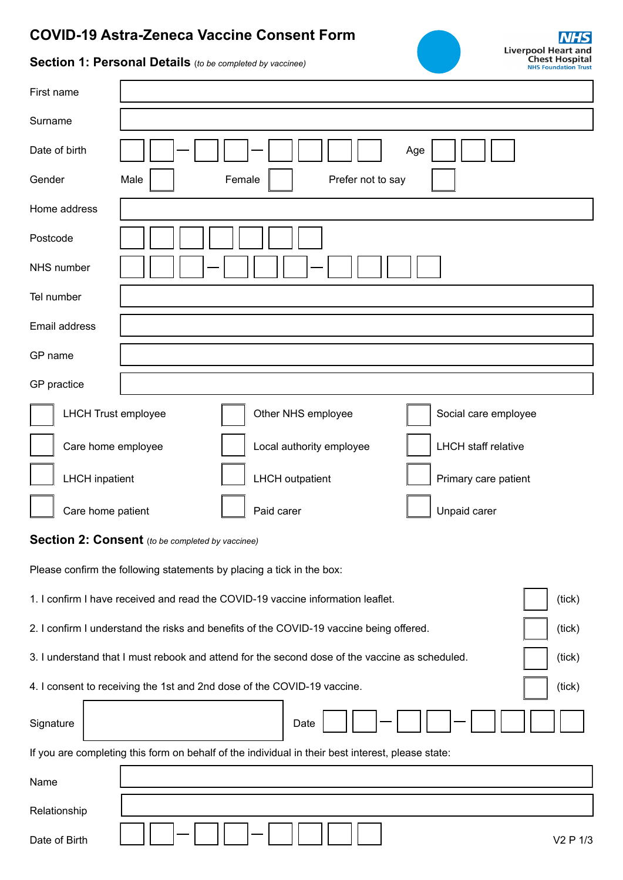## **COVID-19 Astra-Zeneca Vaccine Consent Form**



## **Section 1: Personal Details** (*to be completed by vaccinee)*

| First name                                                                                               |                                                |  |  |  |
|----------------------------------------------------------------------------------------------------------|------------------------------------------------|--|--|--|
| Surname                                                                                                  |                                                |  |  |  |
| Date of birth                                                                                            | Age                                            |  |  |  |
| Gender<br>Male<br>Female<br>Prefer not to say                                                            |                                                |  |  |  |
| Home address                                                                                             |                                                |  |  |  |
| Postcode                                                                                                 |                                                |  |  |  |
| NHS number                                                                                               |                                                |  |  |  |
| Tel number                                                                                               |                                                |  |  |  |
| Email address                                                                                            |                                                |  |  |  |
| GP name                                                                                                  |                                                |  |  |  |
| GP practice                                                                                              |                                                |  |  |  |
| <b>LHCH Trust employee</b><br>Other NHS employee<br>Social care employee                                 |                                                |  |  |  |
| <b>LHCH</b> staff relative<br>Care home employee<br>Local authority employee                             |                                                |  |  |  |
| <b>LHCH</b> inpatient                                                                                    | <b>LHCH</b> outpatient<br>Primary care patient |  |  |  |
| Care home patient                                                                                        | Paid carer<br>Unpaid carer                     |  |  |  |
| Section 2: Consent (to be completed by vaccinee)                                                         |                                                |  |  |  |
| Please confirm the following statements by placing a tick in the box:                                    |                                                |  |  |  |
| 1. I confirm I have received and read the COVID-19 vaccine information leaflet.<br>(tick)                |                                                |  |  |  |
| 2. I confirm I understand the risks and benefits of the COVID-19 vaccine being offered.<br>(tick)        |                                                |  |  |  |
| 3. I understand that I must rebook and attend for the second dose of the vaccine as scheduled.<br>(tick) |                                                |  |  |  |
| 4. I consent to receiving the 1st and 2nd dose of the COVID-19 vaccine.<br>(tick)                        |                                                |  |  |  |
| Signature                                                                                                | Date                                           |  |  |  |
| If you are completing this form on behalf of the individual in their best interest, please state:        |                                                |  |  |  |
| Name                                                                                                     |                                                |  |  |  |
| Relationship                                                                                             |                                                |  |  |  |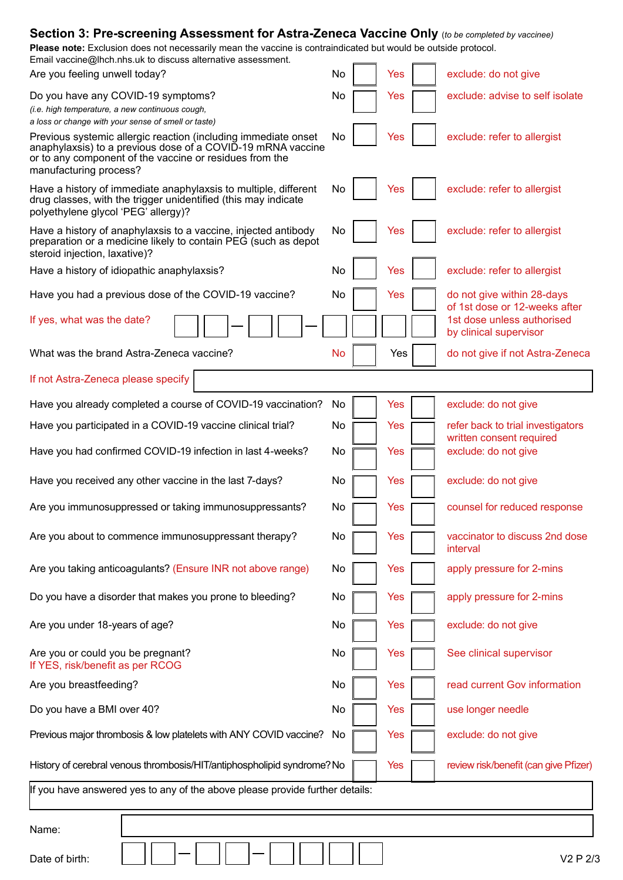| <b>Section 3: Pre-screening Assessment for Astra-Zeneca Vaccine Only</b> (to be completed by vaccinee)<br>Please note: Exclusion does not necessarily mean the vaccine is contraindicated but would be outside protocol.<br>Email vaccine@lhch.nhs.uk to discuss alternative assessment. |           |  |                                                             |  |
|------------------------------------------------------------------------------------------------------------------------------------------------------------------------------------------------------------------------------------------------------------------------------------------|-----------|--|-------------------------------------------------------------|--|
| Are you feeling unwell today?                                                                                                                                                                                                                                                            | No<br>Yes |  | exclude: do not give                                        |  |
| Do you have any COVID-19 symptoms?<br>(i.e. high temperature, a new continuous cough,<br>a loss or change with your sense of smell or taste)                                                                                                                                             | No<br>Yes |  | exclude: advise to self isolate                             |  |
| Previous systemic allergic reaction (including immediate onset<br>anaphylaxsis) to a previous dose of a COVID-19 mRNA vaccine<br>or to any component of the vaccine or residues from the<br>manufacturing process?                                                                       | No<br>Yes |  | exclude: refer to allergist                                 |  |
| Have a history of immediate anaphylaxsis to multiple, different<br>drug classes, with the trigger unidentified (this may indicate<br>polyethylene glycol 'PEG' allergy)?                                                                                                                 | No<br>Yes |  | exclude: refer to allergist                                 |  |
| Have a history of anaphylaxsis to a vaccine, injected antibody<br>preparation or a medicine likely to contain PEG (such as depot<br>steroid injection, laxative)?                                                                                                                        | No<br>Yes |  | exclude: refer to allergist                                 |  |
| Have a history of idiopathic anaphylaxsis?                                                                                                                                                                                                                                               | No<br>Yes |  | exclude: refer to allergist                                 |  |
| Have you had a previous dose of the COVID-19 vaccine?                                                                                                                                                                                                                                    | No<br>Yes |  | do not give within 28-days<br>of 1st dose or 12-weeks after |  |
| If yes, what was the date?                                                                                                                                                                                                                                                               |           |  | 1st dose unless authorised<br>by clinical supervisor        |  |
| What was the brand Astra-Zeneca vaccine?                                                                                                                                                                                                                                                 | No<br>Yes |  | do not give if not Astra-Zeneca                             |  |
| If not Astra-Zeneca please specify                                                                                                                                                                                                                                                       |           |  |                                                             |  |
| Have you already completed a course of COVID-19 vaccination?                                                                                                                                                                                                                             | No<br>Yes |  | exclude: do not give                                        |  |
| Have you participated in a COVID-19 vaccine clinical trial?                                                                                                                                                                                                                              | No<br>Yes |  | refer back to trial investigators                           |  |
| Have you had confirmed COVID-19 infection in last 4-weeks?                                                                                                                                                                                                                               | No<br>Yes |  | written consent required<br>exclude: do not give            |  |
| Have you received any other vaccine in the last 7-days?                                                                                                                                                                                                                                  | No<br>Yes |  | exclude: do not give                                        |  |
| Are you immunosuppressed or taking immunosuppressants?                                                                                                                                                                                                                                   | No<br>Yes |  | counsel for reduced response                                |  |
| Are you about to commence immunosuppressant therapy?                                                                                                                                                                                                                                     | No<br>Yes |  | vaccinator to discuss 2nd dose<br>interval                  |  |
| Are you taking anticoagulants? (Ensure INR not above range)                                                                                                                                                                                                                              | No<br>Yes |  | apply pressure for 2-mins                                   |  |
| Do you have a disorder that makes you prone to bleeding?                                                                                                                                                                                                                                 | No<br>Yes |  | apply pressure for 2-mins                                   |  |
| Are you under 18-years of age?                                                                                                                                                                                                                                                           | No<br>Yes |  | exclude: do not give                                        |  |
| Are you or could you be pregnant?<br>If YES, risk/benefit as per RCOG                                                                                                                                                                                                                    | No<br>Yes |  | See clinical supervisor                                     |  |
| Are you breastfeeding?                                                                                                                                                                                                                                                                   | No<br>Yes |  | read current Gov information                                |  |
| Do you have a BMI over 40?                                                                                                                                                                                                                                                               | No<br>Yes |  | use longer needle                                           |  |
| Previous major thrombosis & low platelets with ANY COVID vaccine?                                                                                                                                                                                                                        | No<br>Yes |  | exclude: do not give                                        |  |
| History of cerebral venous thrombosis/HIT/antiphospholipid syndrome? No<br>review risk/benefit (can give Pfizer)<br><b>Yes</b>                                                                                                                                                           |           |  |                                                             |  |
| If you have answered yes to any of the above please provide further details:                                                                                                                                                                                                             |           |  |                                                             |  |
| Name:                                                                                                                                                                                                                                                                                    |           |  |                                                             |  |
| Date of birth:                                                                                                                                                                                                                                                                           |           |  | V2 P 2/3                                                    |  |